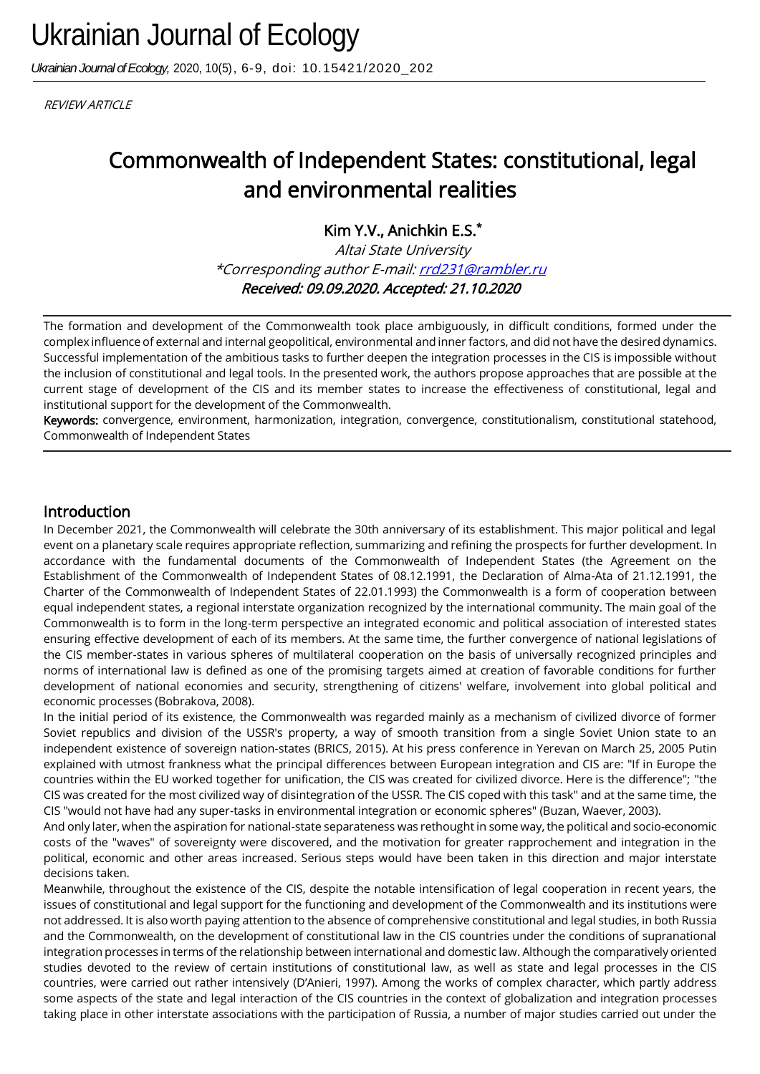*Ukrainian Journal of Ecology,* 2020, 10(5), 6-9, doi: 10.15421/2020\_202

**REVIEW ARTICLE** 

# Commonwealth of Independent States: constitutional, legal and environmental realities

Kim Y.V., Anichkin E.S.\*

Altai State University \*Corresponding author E-mail: rrd231@rambler.ru Received: 09.09.2020. Accepted: 21.10.2020

The formation and development of the Commonwealth took place ambiguously, in difficult conditions, formed under the complex influence of external and internal geopolitical, environmental and inner factors, and did not have the desired dynamics. Successful implementation of the ambitious tasks to further deepen the integration processes in the CIS is impossible without the inclusion of constitutional and legal tools. In the presented work, the authors propose approaches that are possible at the current stage of development of the CIS and its member states to increase the effectiveness of constitutional, legal and institutional support for the development of the Commonwealth.

Keywords: convergence, environment, harmonization, integration, convergence, constitutionalism, constitutional statehood, Commonwealth of Independent States

# Introduction

In December 2021, the Commonwealth will celebrate the 30th anniversary of its establishment. This major political and legal event on a planetary scale requires appropriate reflection, summarizing and refining the prospects for further development. In accordance with the fundamental documents of the Commonwealth of Independent States (the Agreement on the Establishment of the Commonwealth of Independent States of 08.12.1991, the Declaration of Alma-Ata of 21.12.1991, the Charter of the Commonwealth of Independent States of 22.01.1993) the Commonwealth is a form of cooperation between equal independent states, a regional interstate organization recognized by the international community. The main goal of the Commonwealth is to form in the long-term perspective an integrated economic and political association of interested states ensuring effective development of each of its members. At the same time, the further convergence of national legislations of the CIS member-states in various spheres of multilateral cooperation on the basis of universally recognized principles and norms of international law is defined as one of the promising targets aimed at creation of favorable conditions for further development of national economies and security, strengthening of citizens' welfare, involvement into global political and economic processes (Bobrakova, 2008).

In the initial period of its existence, the Commonwealth was regarded mainly as a mechanism of civilized divorce of former Soviet republics and division of the USSR's property, a way of smooth transition from a single Soviet Union state to an independent existence of sovereign nation-states (BRICS, 2015). At his press conference in Yerevan on March 25, 2005 Putin explained with utmost frankness what the principal differences between European integration and CIS are: "If in Europe the countries within the EU worked together for unification, the CIS was created for civilized divorce. Here is the difference"; "the CIS was created for the most civilized way of disintegration of the USSR. The CIS coped with this task" and at the same time, the CIS "would not have had any super-tasks in environmental integration or economic spheres" (Buzan, Waever, 2003).

And only later, when the aspiration for national-state separateness was rethought in some way, the political and socio-economic costs of the "waves" of sovereignty were discovered, and the motivation for greater rapprochement and integration in the political, economic and other areas increased. Serious steps would have been taken in this direction and major interstate decisions taken.

Meanwhile, throughout the existence of the CIS, despite the notable intensification of legal cooperation in recent years, the issues of constitutional and legal support for the functioning and development of the Commonwealth and its institutions were not addressed. It is also worth paying attention to the absence of comprehensive constitutional and legal studies, in both Russia and the Commonwealth, on the development of constitutional law in the CIS countries under the conditions of supranational integration processes in terms of the relationship between international and domestic law. Although the comparatively oriented studies devoted to the review of certain institutions of constitutional law, as well as state and legal processes in the CIS countries, were carried out rather intensively (D'Anieri, 1997). Among the works of complex character, which partly address some aspects of the state and legal interaction of the CIS countries in the context of globalization and integration processes taking place in other interstate associations with the participation of Russia, a number of major studies carried out under the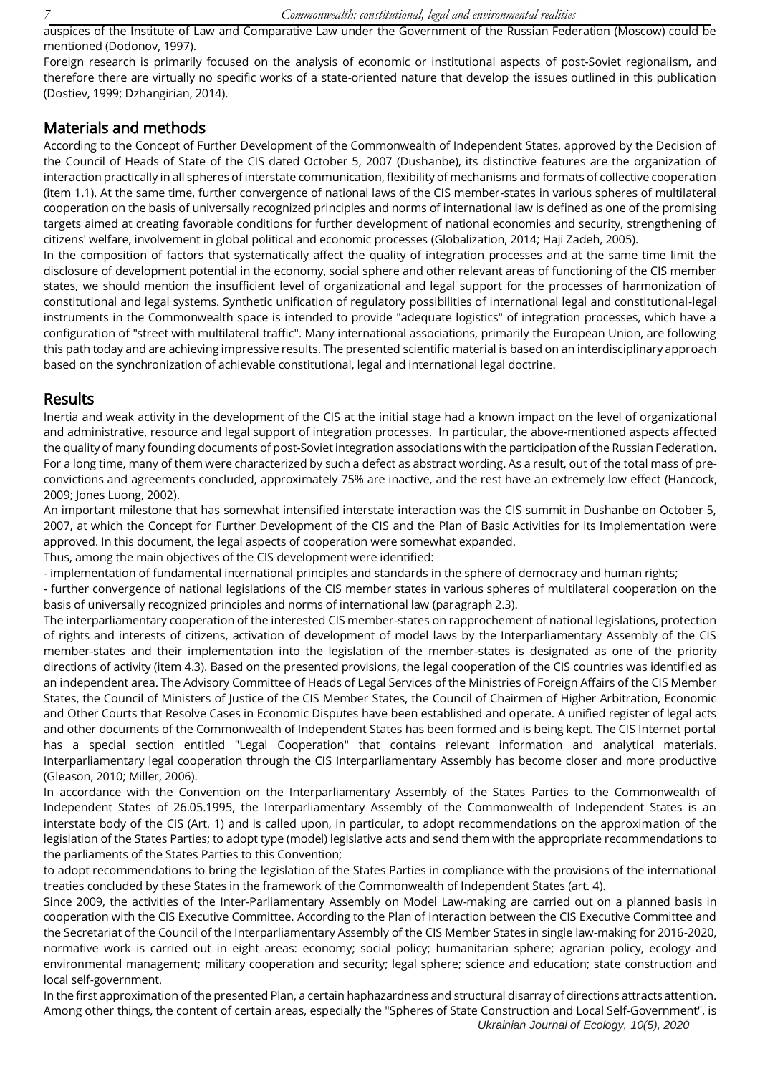auspices of the Institute of Law and Comparative Law under the Government of the Russian Federation (Moscow) could be mentioned (Dodonov, 1997).

Foreign research is primarily focused on the analysis of economic or institutional aspects of post-Soviet regionalism, and therefore there are virtually no specific works of a state-oriented nature that develop the issues outlined in this publication (Dostiev, 1999; Dzhangirian, 2014).

### Materials and methods

According to the Concept of Further Development of the Commonwealth of Independent States, approved by the Decision of the Council of Heads of State of the CIS dated October 5, 2007 (Dushanbe), its distinctive features are the organization of interaction practically in all spheres of interstate communication, flexibility of mechanisms and formats of collective cooperation (item 1.1). At the same time, further convergence of national laws of the CIS member-states in various spheres of multilateral cooperation on the basis of universally recognized principles and norms of international law is defined as one of the promising targets aimed at creating favorable conditions for further development of national economies and security, strengthening of citizens' welfare, involvement in global political and economic processes (Globalization, 2014; Haji Zadeh, 2005).

In the composition of factors that systematically affect the quality of integration processes and at the same time limit the disclosure of development potential in the economy, social sphere and other relevant areas of functioning of the CIS member states, we should mention the insufficient level of organizational and legal support for the processes of harmonization of constitutional and legal systems. Synthetic unification of regulatory possibilities of international legal and constitutional-legal instruments in the Commonwealth space is intended to provide "adequate logistics" of integration processes, which have a configuration of "street with multilateral traffic". Many international associations, primarily the European Union, are following this path today and are achieving impressive results. The presented scientific material is based on an interdisciplinary approach based on the synchronization of achievable constitutional, legal and international legal doctrine.

#### Results

Inertia and weak activity in the development of the CIS at the initial stage had a known impact on the level of organizational and administrative, resource and legal support of integration processes. In particular, the above-mentioned aspects affected the quality of many founding documents of post-Soviet integration associations with the participation of the Russian Federation. For a long time, many of them were characterized by such a defect as abstract wording. As a result, out of the total mass of preconvictions and agreements concluded, approximately 75% are inactive, and the rest have an extremely low effect (Hancock, 2009; Jones Luong, 2002).

An important milestone that has somewhat intensified interstate interaction was the CIS summit in Dushanbe on October 5, 2007, at which the Concept for Further Development of the CIS and the Plan of Basic Activities for its Implementation were approved. In this document, the legal aspects of cooperation were somewhat expanded.

Thus, among the main objectives of the CIS development were identified:

- implementation of fundamental international principles and standards in the sphere of democracy and human rights;

- further convergence of national legislations of the CIS member states in various spheres of multilateral cooperation on the basis of universally recognized principles and norms of international law (paragraph 2.3).

The interparliamentary cooperation of the interested CIS member-states on rapprochement of national legislations, protection of rights and interests of citizens, activation of development of model laws by the Interparliamentary Assembly of the CIS member-states and their implementation into the legislation of the member-states is designated as one of the priority directions of activity (item 4.3). Based on the presented provisions, the legal cooperation of the CIS countries was identified as an independent area. The Advisory Committee of Heads of Legal Services of the Ministries of Foreign Affairs of the CIS Member States, the Council of Ministers of Justice of the CIS Member States, the Council of Chairmen of Higher Arbitration, Economic and Other Courts that Resolve Cases in Economic Disputes have been established and operate. A unified register of legal acts and other documents of the Commonwealth of Independent States has been formed and is being kept. The CIS Internet portal has a special section entitled "Legal Cooperation" that contains relevant information and analytical materials. Interparliamentary legal cooperation through the CIS Interparliamentary Assembly has become closer and more productive (Gleason, 2010; Miller, 2006).

In accordance with the Convention on the Interparliamentary Assembly of the States Parties to the Commonwealth of Independent States of 26.05.1995, the Interparliamentary Assembly of the Commonwealth of Independent States is an interstate body of the CIS (Art. 1) and is called upon, in particular, to adopt recommendations on the approximation of the legislation of the States Parties; to adopt type (model) legislative acts and send them with the appropriate recommendations to the parliaments of the States Parties to this Convention;

to adopt recommendations to bring the legislation of the States Parties in compliance with the provisions of the international treaties concluded by these States in the framework of the Commonwealth of Independent States (art. 4).

Since 2009, the activities of the Inter-Parliamentary Assembly on Model Law-making are carried out on a planned basis in cooperation with the CIS Executive Committee. According to the Plan of interaction between the CIS Executive Committee and the Secretariat of the Council of the Interparliamentary Assembly of the CIS Member States in single law-making for 2016-2020, normative work is carried out in eight areas: economy; social policy; humanitarian sphere; agrarian policy, ecology and environmental management; military cooperation and security; legal sphere; science and education; state construction and local self-government.

In the first approximation of the presented Plan, a certain haphazardness and structural disarray of directions attracts attention. Among other things, the content of certain areas, especially the "Spheres of State Construction and Local Self-Government", is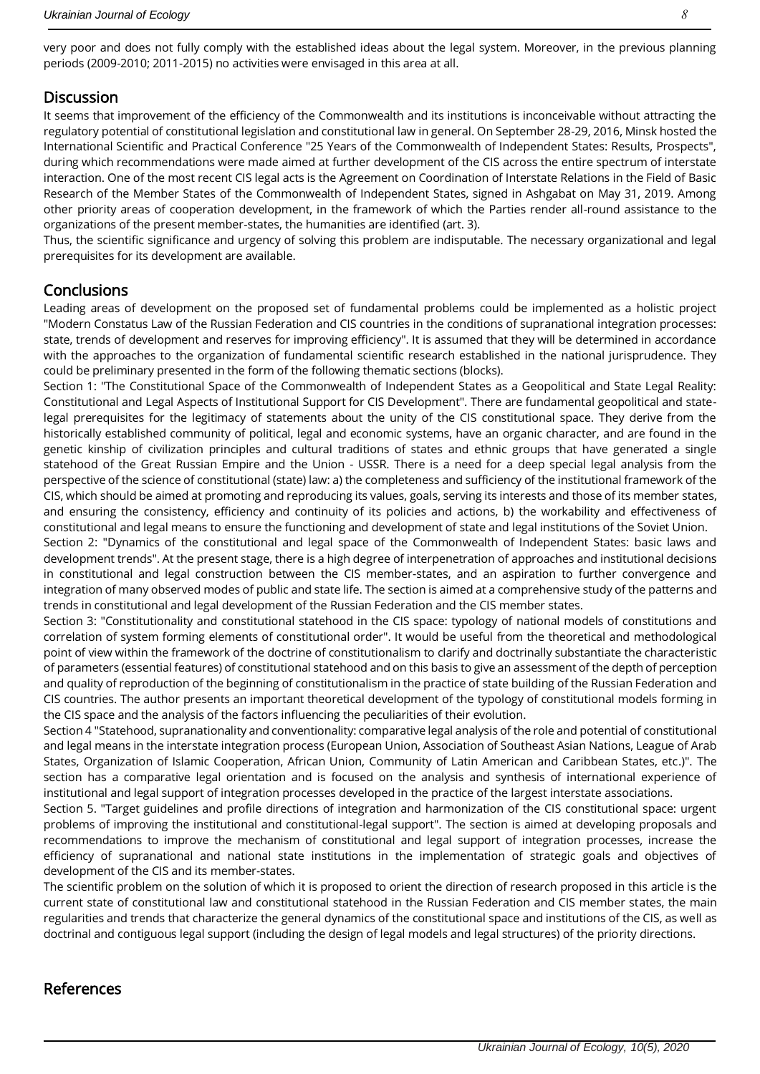very poor and does not fully comply with the established ideas about the legal system. Moreover, in the previous planning periods (2009-2010; 2011-2015) no activities were envisaged in this area at all.

## **Discussion**

It seems that improvement of the efficiency of the Commonwealth and its institutions is inconceivable without attracting the regulatory potential of constitutional legislation and constitutional law in general. On September 28-29, 2016, Minsk hosted the International Scientific and Practical Conference "25 Years of the Commonwealth of Independent States: Results, Prospects", during which recommendations were made aimed at further development of the CIS across the entire spectrum of interstate interaction. One of the most recent CIS legal acts is the Agreement on Coordination of Interstate Relations in the Field of Basic Research of the Member States of the Commonwealth of Independent States, signed in Ashgabat on May 31, 2019. Among other priority areas of cooperation development, in the framework of which the Parties render all-round assistance to the organizations of the present member-states, the humanities are identified (art. 3).

Thus, the scientific significance and urgency of solving this problem are indisputable. The necessary organizational and legal prerequisites for its development are available.

### **Conclusions**

Leading areas of development on the proposed set of fundamental problems could be implemented as a holistic project "Modern Constatus Law of the Russian Federation and CIS countries in the conditions of supranational integration processes: state, trends of development and reserves for improving efficiency". It is assumed that they will be determined in accordance with the approaches to the organization of fundamental scientific research established in the national jurisprudence. They could be preliminary presented in the form of the following thematic sections (blocks).

Section 1: "The Constitutional Space of the Commonwealth of Independent States as a Geopolitical and State Legal Reality: Constitutional and Legal Aspects of Institutional Support for CIS Development". There are fundamental geopolitical and statelegal prerequisites for the legitimacy of statements about the unity of the CIS constitutional space. They derive from the historically established community of political, legal and economic systems, have an organic character, and are found in the genetic kinship of civilization principles and cultural traditions of states and ethnic groups that have generated a single statehood of the Great Russian Empire and the Union - USSR. There is a need for a deep special legal analysis from the perspective of the science of constitutional (state) law: a) the completeness and sufficiency of the institutional framework of the CIS, which should be aimed at promoting and reproducing its values, goals, serving its interests and those of its member states, and ensuring the consistency, efficiency and continuity of its policies and actions, b) the workability and effectiveness of constitutional and legal means to ensure the functioning and development of state and legal institutions of the Soviet Union.

Section 2: "Dynamics of the constitutional and legal space of the Commonwealth of Independent States: basic laws and development trends". At the present stage, there is a high degree of interpenetration of approaches and institutional decisions in constitutional and legal construction between the CIS member-states, and an aspiration to further convergence and integration of many observed modes of public and state life. The section is aimed at a comprehensive study of the patterns and trends in constitutional and legal development of the Russian Federation and the CIS member states.

Section 3: "Constitutionality and constitutional statehood in the CIS space: typology of national models of constitutions and correlation of system forming elements of constitutional order". It would be useful from the theoretical and methodological point of view within the framework of the doctrine of constitutionalism to clarify and doctrinally substantiate the characteristic of parameters (essential features) of constitutional statehood and on this basis to give an assessment of the depth of perception and quality of reproduction of the beginning of constitutionalism in the practice of state building of the Russian Federation and CIS countries. The author presents an important theoretical development of the typology of constitutional models forming in the CIS space and the analysis of the factors influencing the peculiarities of their evolution.

Section 4 "Statehood, supranationality and conventionality: comparative legal analysis of the role and potential of constitutional and legal means in the interstate integration process (European Union, Association of Southeast Asian Nations, League of Arab States, Organization of Islamic Cooperation, African Union, Community of Latin American and Caribbean States, etc.)". The section has a comparative legal orientation and is focused on the analysis and synthesis of international experience of institutional and legal support of integration processes developed in the practice of the largest interstate associations.

Section 5. "Target guidelines and profile directions of integration and harmonization of the CIS constitutional space: urgent problems of improving the institutional and constitutional-legal support". The section is aimed at developing proposals and recommendations to improve the mechanism of constitutional and legal support of integration processes, increase the efficiency of supranational and national state institutions in the implementation of strategic goals and objectives of development of the CIS and its member-states.

The scientific problem on the solution of which it is proposed to orient the direction of research proposed in this article is the current state of constitutional law and constitutional statehood in the Russian Federation and CIS member states, the main regularities and trends that characterize the general dynamics of the constitutional space and institutions of the CIS, as well as doctrinal and contiguous legal support (including the design of legal models and legal structures) of the priority directions.

#### References